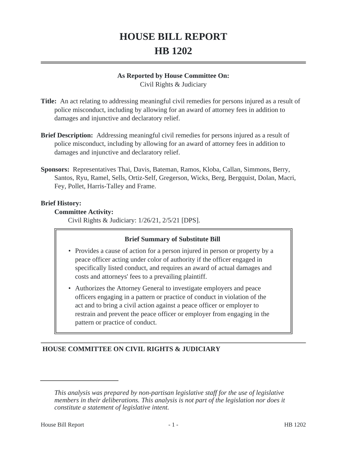# **HOUSE BILL REPORT HB 1202**

## **As Reported by House Committee On:**

Civil Rights & Judiciary

- **Title:** An act relating to addressing meaningful civil remedies for persons injured as a result of police misconduct, including by allowing for an award of attorney fees in addition to damages and injunctive and declaratory relief.
- **Brief Description:** Addressing meaningful civil remedies for persons injured as a result of police misconduct, including by allowing for an award of attorney fees in addition to damages and injunctive and declaratory relief.
- **Sponsors:** Representatives Thai, Davis, Bateman, Ramos, Kloba, Callan, Simmons, Berry, Santos, Ryu, Ramel, Sells, Ortiz-Self, Gregerson, Wicks, Berg, Bergquist, Dolan, Macri, Fey, Pollet, Harris-Talley and Frame.

## **Brief History:**

## **Committee Activity:**

Civil Rights & Judiciary: 1/26/21, 2/5/21 [DPS].

## **Brief Summary of Substitute Bill**

- Provides a cause of action for a person injured in person or property by a peace officer acting under color of authority if the officer engaged in specifically listed conduct, and requires an award of actual damages and costs and attorneys' fees to a prevailing plaintiff.
- Authorizes the Attorney General to investigate employers and peace officers engaging in a pattern or practice of conduct in violation of the act and to bring a civil action against a peace officer or employer to restrain and prevent the peace officer or employer from engaging in the pattern or practice of conduct.

# **HOUSE COMMITTEE ON CIVIL RIGHTS & JUDICIARY**

*This analysis was prepared by non-partisan legislative staff for the use of legislative members in their deliberations. This analysis is not part of the legislation nor does it constitute a statement of legislative intent.*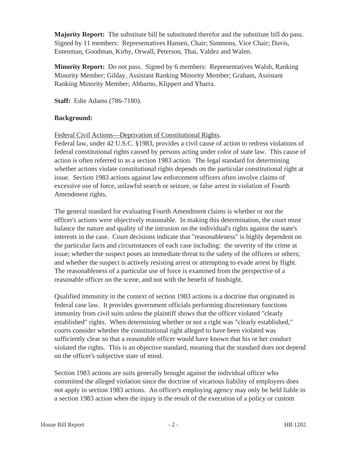**Majority Report:** The substitute bill be substituted therefor and the substitute bill do pass. Signed by 11 members: Representatives Hansen, Chair; Simmons, Vice Chair; Davis, Entenman, Goodman, Kirby, Orwall, Peterson, Thai, Valdez and Walen.

**Minority Report:** Do not pass. Signed by 6 members: Representatives Walsh, Ranking Minority Member; Gilday, Assistant Ranking Minority Member; Graham, Assistant Ranking Minority Member; Abbarno, Klippert and Ybarra.

**Staff:** Edie Adams (786-7180).

## **Background:**

Federal Civil Actions—Deprivation of Constitutional Rights.

Federal law, under 42 U.S.C. §1983, provides a civil cause of action to redress violations of federal constitutional rights caused by persons acting under color of state law. This cause of action is often referred to as a section 1983 action. The legal standard for determining whether actions violate constitutional rights depends on the particular constitutional right at issue. Section 1983 actions against law enforcement officers often involve claims of excessive use of force, unlawful search or seizure, or false arrest in violation of Fourth Amendment rights.

The general standard for evaluating Fourth Amendment claims is whether or not the officer's actions were objectively reasonable. In making this determination, the court must balance the nature and quality of the intrusion on the individual's rights against the state's interests in the case. Court decisions indicate that "reasonableness" is highly dependent on the particular facts and circumstances of each case including: the severity of the crime at issue; whether the suspect poses an immediate threat to the safety of the officers or others; and whether the suspect is actively resisting arrest or attempting to evade arrest by flight. The reasonableness of a particular use of force is examined from the perspective of a reasonable officer on the scene, and not with the benefit of hindsight.

Qualified immunity in the context of section 1983 actions is a doctrine that originated in federal case law. It provides government officials performing discretionary functions immunity from civil suits unless the plaintiff shows that the officer violated "clearly established" rights. When determining whether or not a right was "clearly established," courts consider whether the constitutional right alleged to have been violated was sufficiently clear so that a reasonable officer would have known that his or her conduct violated the rights. This is an objective standard, meaning that the standard does not depend on the officer's subjective state of mind.

Section 1983 actions are suits generally brought against the individual officer who committed the alleged violation since the doctrine of vicarious liability of employers does not apply in section 1983 actions. An officer's employing agency may only be held liable in a section 1983 action when the injury is the result of the execution of a policy or custom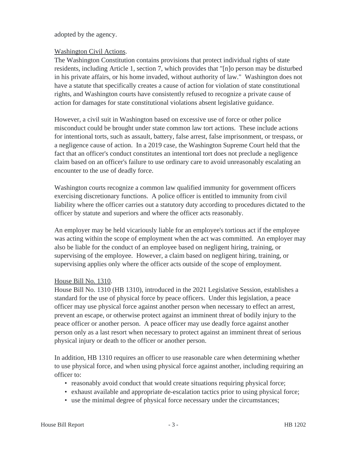adopted by the agency.

## Washington Civil Actions.

The Washington Constitution contains provisions that protect individual rights of state residents, including Article 1, section 7, which provides that "[n]o person may be disturbed in his private affairs, or his home invaded, without authority of law." Washington does not have a statute that specifically creates a cause of action for violation of state constitutional rights, and Washington courts have consistently refused to recognize a private cause of action for damages for state constitutional violations absent legislative guidance.

However, a civil suit in Washington based on excessive use of force or other police misconduct could be brought under state common law tort actions. These include actions for intentional torts, such as assault, battery, false arrest, false imprisonment, or trespass, or a negligence cause of action. In a 2019 case, the Washington Supreme Court held that the fact that an officer's conduct constitutes an intentional tort does not preclude a negligence claim based on an officer's failure to use ordinary care to avoid unreasonably escalating an encounter to the use of deadly force.

Washington courts recognize a common law qualified immunity for government officers exercising discretionary functions. A police officer is entitled to immunity from civil liability where the officer carries out a statutory duty according to procedures dictated to the officer by statute and superiors and where the officer acts reasonably.

An employer may be held vicariously liable for an employee's tortious act if the employee was acting within the scope of employment when the act was committed. An employer may also be liable for the conduct of an employee based on negligent hiring, training, or supervising of the employee. However, a claim based on negligent hiring, training, or supervising applies only where the officer acts outside of the scope of employment.

## House Bill No. 1310.

House Bill No. 1310 (HB 1310), introduced in the 2021 Legislative Session, establishes a standard for the use of physical force by peace officers. Under this legislation, a peace officer may use physical force against another person when necessary to effect an arrest, prevent an escape, or otherwise protect against an imminent threat of bodily injury to the peace officer or another person. A peace officer may use deadly force against another person only as a last resort when necessary to protect against an imminent threat of serious physical injury or death to the officer or another person.

In addition, HB 1310 requires an officer to use reasonable care when determining whether to use physical force, and when using physical force against another, including requiring an officer to:

- reasonably avoid conduct that would create situations requiring physical force;
- exhaust available and appropriate de-escalation tactics prior to using physical force;
- use the minimal degree of physical force necessary under the circumstances;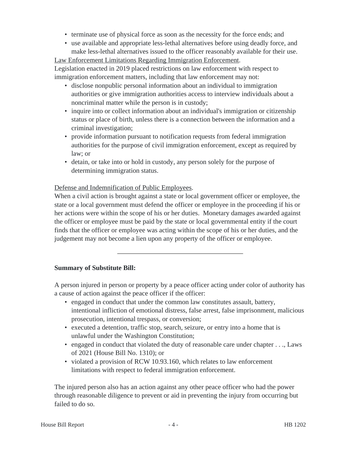- terminate use of physical force as soon as the necessity for the force ends; and
- use available and appropriate less-lethal alternatives before using deadly force, and make less-lethal alternatives issued to the officer reasonably available for their use.

Law Enforcement Limitations Regarding Immigration Enforcement. Legislation enacted in 2019 placed restrictions on law enforcement with respect to immigration enforcement matters, including that law enforcement may not:

- disclose nonpublic personal information about an individual to immigration authorities or give immigration authorities access to interview individuals about a noncriminal matter while the person is in custody;
- inquire into or collect information about an individual's immigration or citizenship status or place of birth, unless there is a connection between the information and a criminal investigation;
- provide information pursuant to notification requests from federal immigration authorities for the purpose of civil immigration enforcement, except as required by law; or
- detain, or take into or hold in custody, any person solely for the purpose of determining immigration status.

# Defense and Indemnification of Public Employees.

When a civil action is brought against a state or local government officer or employee, the state or a local government must defend the officer or employee in the proceeding if his or her actions were within the scope of his or her duties. Monetary damages awarded against the officer or employee must be paid by the state or local governmental entity if the court finds that the officer or employee was acting within the scope of his or her duties, and the judgement may not become a lien upon any property of the officer or employee.

# **Summary of Substitute Bill:**

A person injured in person or property by a peace officer acting under color of authority has a cause of action against the peace officer if the officer:

- engaged in conduct that under the common law constitutes assault, battery, intentional infliction of emotional distress, false arrest, false imprisonment, malicious prosecution, intentional trespass, or conversion;
- executed a detention, traffic stop, search, seizure, or entry into a home that is unlawful under the Washington Constitution;
- engaged in conduct that violated the duty of reasonable care under chapter . . ., Laws of 2021 (House Bill No. 1310); or
- violated a provision of RCW 10.93.160, which relates to law enforcement limitations with respect to federal immigration enforcement.

The injured person also has an action against any other peace officer who had the power through reasonable diligence to prevent or aid in preventing the injury from occurring but failed to do so.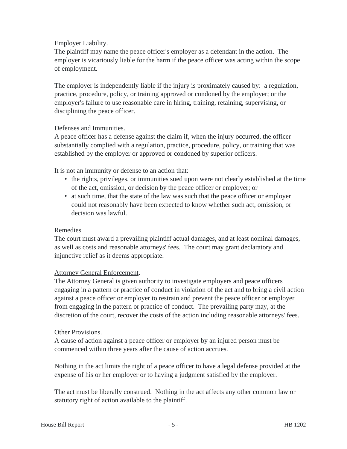## Employer Liability.

The plaintiff may name the peace officer's employer as a defendant in the action. The employer is vicariously liable for the harm if the peace officer was acting within the scope of employment.

The employer is independently liable if the injury is proximately caused by: a regulation, practice, procedure, policy, or training approved or condoned by the employer; or the employer's failure to use reasonable care in hiring, training, retaining, supervising, or disciplining the peace officer.

## Defenses and Immunities.

A peace officer has a defense against the claim if, when the injury occurred, the officer substantially complied with a regulation, practice, procedure, policy, or training that was established by the employer or approved or condoned by superior officers.

It is not an immunity or defense to an action that:

- the rights, privileges, or immunities sued upon were not clearly established at the time of the act, omission, or decision by the peace officer or employer; or
- at such time, that the state of the law was such that the peace officer or employer could not reasonably have been expected to know whether such act, omission, or decision was lawful.

## Remedies.

The court must award a prevailing plaintiff actual damages, and at least nominal damages, as well as costs and reasonable attorneys' fees. The court may grant declaratory and injunctive relief as it deems appropriate.

## Attorney General Enforcement.

The Attorney General is given authority to investigate employers and peace officers engaging in a pattern or practice of conduct in violation of the act and to bring a civil action against a peace officer or employer to restrain and prevent the peace officer or employer from engaging in the pattern or practice of conduct. The prevailing party may, at the discretion of the court, recover the costs of the action including reasonable attorneys' fees.

## Other Provisions.

A cause of action against a peace officer or employer by an injured person must be commenced within three years after the cause of action accrues.

Nothing in the act limits the right of a peace officer to have a legal defense provided at the expense of his or her employer or to having a judgment satisfied by the employer.

The act must be liberally construed. Nothing in the act affects any other common law or statutory right of action available to the plaintiff.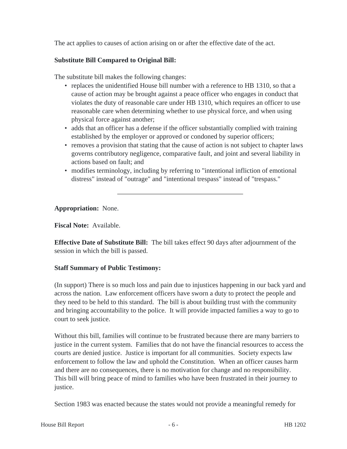The act applies to causes of action arising on or after the effective date of the act.

## **Substitute Bill Compared to Original Bill:**

The substitute bill makes the following changes:

- replaces the unidentified House bill number with a reference to HB 1310, so that a cause of action may be brought against a peace officer who engages in conduct that violates the duty of reasonable care under HB 1310, which requires an officer to use reasonable care when determining whether to use physical force, and when using physical force against another;
- adds that an officer has a defense if the officer substantially complied with training established by the employer or approved or condoned by superior officers;
- removes a provision that stating that the cause of action is not subject to chapter laws governs contributory negligence, comparative fault, and joint and several liability in actions based on fault; and
- modifies terminology, including by referring to "intentional infliction of emotional distress" instead of "outrage" and "intentional trespass" instead of "trespass."

**Appropriation:** None.

**Fiscal Note:** Available.

**Effective Date of Substitute Bill:** The bill takes effect 90 days after adjournment of the session in which the bill is passed.

# **Staff Summary of Public Testimony:**

(In support) There is so much loss and pain due to injustices happening in our back yard and across the nation. Law enforcement officers have sworn a duty to protect the people and they need to be held to this standard. The bill is about building trust with the community and bringing accountability to the police. It will provide impacted families a way to go to court to seek justice.

Without this bill, families will continue to be frustrated because there are many barriers to justice in the current system. Families that do not have the financial resources to access the courts are denied justice. Justice is important for all communities. Society expects law enforcement to follow the law and uphold the Constitution. When an officer causes harm and there are no consequences, there is no motivation for change and no responsibility. This bill will bring peace of mind to families who have been frustrated in their journey to justice.

Section 1983 was enacted because the states would not provide a meaningful remedy for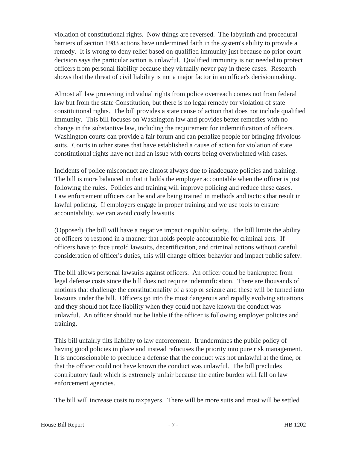violation of constitutional rights. Now things are reversed. The labyrinth and procedural barriers of section 1983 actions have undermined faith in the system's ability to provide a remedy. It is wrong to deny relief based on qualified immunity just because no prior court decision says the particular action is unlawful. Qualified immunity is not needed to protect officers from personal liability because they virtually never pay in these cases. Research shows that the threat of civil liability is not a major factor in an officer's decisionmaking.

Almost all law protecting individual rights from police overreach comes not from federal law but from the state Constitution, but there is no legal remedy for violation of state constitutional rights. The bill provides a state cause of action that does not include qualified immunity. This bill focuses on Washington law and provides better remedies with no change in the substantive law, including the requirement for indemnification of officers. Washington courts can provide a fair forum and can penalize people for bringing frivolous suits. Courts in other states that have established a cause of action for violation of state constitutional rights have not had an issue with courts being overwhelmed with cases.

Incidents of police misconduct are almost always due to inadequate policies and training. The bill is more balanced in that it holds the employer accountable when the officer is just following the rules. Policies and training will improve policing and reduce these cases. Law enforcement officers can be and are being trained in methods and tactics that result in lawful policing. If employers engage in proper training and we use tools to ensure accountability, we can avoid costly lawsuits.

(Opposed) The bill will have a negative impact on public safety. The bill limits the ability of officers to respond in a manner that holds people accountable for criminal acts. If officers have to face untold lawsuits, decertification, and criminal actions without careful consideration of officer's duties, this will change officer behavior and impact public safety.

The bill allows personal lawsuits against officers. An officer could be bankrupted from legal defense costs since the bill does not require indemnification. There are thousands of motions that challenge the constitutionality of a stop or seizure and these will be turned into lawsuits under the bill. Officers go into the most dangerous and rapidly evolving situations and they should not face liability when they could not have known the conduct was unlawful. An officer should not be liable if the officer is following employer policies and training.

This bill unfairly tilts liability to law enforcement. It undermines the public policy of having good policies in place and instead refocuses the priority into pure risk management. It is unconscionable to preclude a defense that the conduct was not unlawful at the time, or that the officer could not have known the conduct was unlawful. The bill precludes contributory fault which is extremely unfair because the entire burden will fall on law enforcement agencies.

The bill will increase costs to taxpayers. There will be more suits and most will be settled